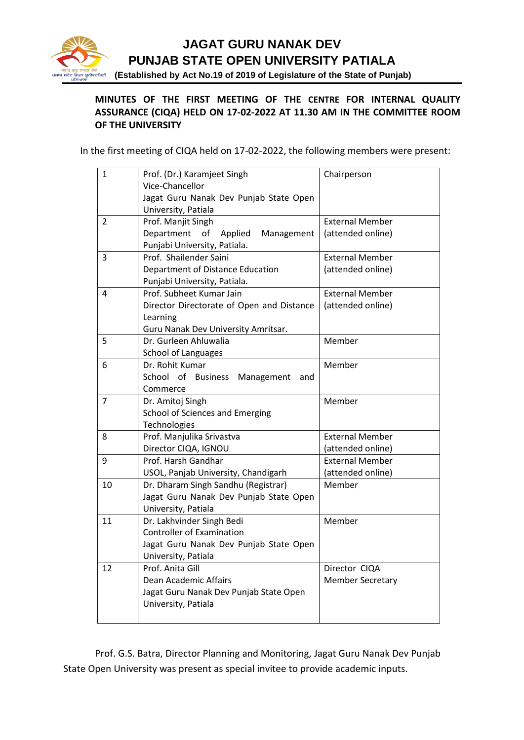

## **JAGAT GURU NANAK DEV PUNJAB STATE OPEN UNIVERSITY PATIALA**

ৰ <del>ৱে</del><br><sub>ত</sub>ীৰবীন**া (Established by Act No.19 of 2019 of Legislature of the State of Punjab)** 

## **MINUTES OF THE FIRST MEETING OF THE CENTRE FOR INTERNAL QUALITY ASSURANCE (CIQA) HELD ON 17-02-2022 AT 11.30 AM IN THE COMMITTEE ROOM OF THE UNIVERSITY**

In the first meeting of CIQA held on 17-02-2022, the following members were present:

| 1              | Prof. (Dr.) Karamjeet Singh                     | Chairperson             |
|----------------|-------------------------------------------------|-------------------------|
|                | Vice-Chancellor                                 |                         |
|                | Jagat Guru Nanak Dev Punjab State Open          |                         |
|                | University, Patiala                             |                         |
| $\overline{2}$ | Prof. Manjit Singh                              | <b>External Member</b>  |
|                | Department<br>of<br>Applied<br>Management       | (attended online)       |
|                | Punjabi University, Patiala.                    |                         |
| 3              | Prof. Shailender Saini                          | <b>External Member</b>  |
|                | Department of Distance Education                | (attended online)       |
|                | Punjabi University, Patiala.                    |                         |
| 4              | Prof. Subheet Kumar Jain                        | <b>External Member</b>  |
|                | Director Directorate of Open and Distance       | (attended online)       |
|                | Learning                                        |                         |
|                | Guru Nanak Dev University Amritsar.             |                         |
| 5              | Dr. Gurleen Ahluwalia                           | Member                  |
|                | <b>School of Languages</b>                      |                         |
| 6              | Dr. Rohit Kumar                                 | Member                  |
|                | School of Business<br>Management<br>and         |                         |
|                | Commerce                                        | Member                  |
| 7              | Dr. Amitoj Singh                                |                         |
|                | School of Sciences and Emerging<br>Technologies |                         |
| 8              | Prof. Manjulika Srivastva                       | <b>External Member</b>  |
|                | Director CIQA, IGNOU                            | (attended online)       |
| 9              | Prof. Harsh Gandhar                             | <b>External Member</b>  |
|                | USOL, Panjab University, Chandigarh             | (attended online)       |
| 10             | Dr. Dharam Singh Sandhu (Registrar)             | Member                  |
|                | Jagat Guru Nanak Dev Punjab State Open          |                         |
|                | University, Patiala                             |                         |
| 11             | Dr. Lakhvinder Singh Bedi                       | Member                  |
|                | <b>Controller of Examination</b>                |                         |
|                | Jagat Guru Nanak Dev Punjab State Open          |                         |
|                | University, Patiala                             |                         |
| 12             | Prof. Anita Gill                                | Director CIQA           |
|                | Dean Academic Affairs                           | <b>Member Secretary</b> |
|                | Jagat Guru Nanak Dev Punjab State Open          |                         |
|                | University, Patiala                             |                         |
|                |                                                 |                         |

Prof. G.S. Batra, Director Planning and Monitoring, Jagat Guru Nanak Dev Punjab State Open University was present as special invitee to provide academic inputs.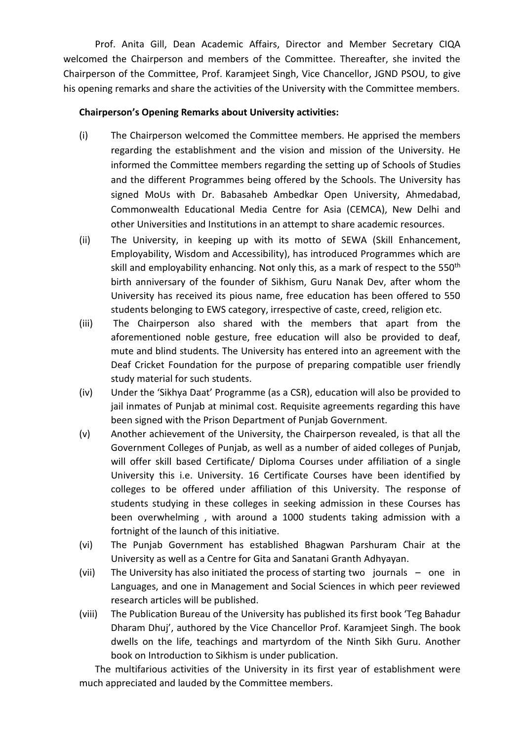Prof. Anita Gill, Dean Academic Affairs, Director and Member Secretary CIQA welcomed the Chairperson and members of the Committee. Thereafter, she invited the Chairperson of the Committee, Prof. Karamjeet Singh, Vice Chancellor, JGND PSOU, to give his opening remarks and share the activities of the University with the Committee members.

## **Chairperson's Opening Remarks about University activities:**

- (i) The Chairperson welcomed the Committee members. He apprised the members regarding the establishment and the vision and mission of the University. He informed the Committee members regarding the setting up of Schools of Studies and the different Programmes being offered by the Schools. The University has signed MoUs with Dr. Babasaheb Ambedkar Open University, Ahmedabad, Commonwealth Educational Media Centre for Asia (CEMCA), New Delhi and other Universities and Institutions in an attempt to share academic resources.
- (ii) The University, in keeping up with its motto of SEWA (Skill Enhancement, Employability, Wisdom and Accessibility), has introduced Programmes which are skill and employability enhancing. Not only this, as a mark of respect to the 550<sup>th</sup> birth anniversary of the founder of Sikhism, Guru Nanak Dev, after whom the University has received its pious name, free education has been offered to 550 students belonging to EWS category, irrespective of caste, creed, religion etc.
- (iii) The Chairperson also shared with the members that apart from the aforementioned noble gesture, free education will also be provided to deaf, mute and blind students. The University has entered into an agreement with the Deaf Cricket Foundation for the purpose of preparing compatible user friendly study material for such students.
- (iv) Under the 'Sikhya Daat' Programme (as a CSR), education will also be provided to jail inmates of Punjab at minimal cost. Requisite agreements regarding this have been signed with the Prison Department of Punjab Government.
- (v) Another achievement of the University, the Chairperson revealed, is that all the Government Colleges of Punjab, as well as a number of aided colleges of Punjab, will offer skill based Certificate/ Diploma Courses under affiliation of a single University this i.e. University. 16 Certificate Courses have been identified by colleges to be offered under affiliation of this University. The response of students studying in these colleges in seeking admission in these Courses has been overwhelming , with around a 1000 students taking admission with a fortnight of the launch of this initiative.
- (vi) The Punjab Government has established Bhagwan Parshuram Chair at the University as well as a Centre for Gita and Sanatani Granth Adhyayan.
- (vii) The University has also initiated the process of starting two journals one in Languages, and one in Management and Social Sciences in which peer reviewed research articles will be published.
- (viii) The Publication Bureau of the University has published its first book 'Teg Bahadur Dharam Dhuj', authored by the Vice Chancellor Prof. Karamjeet Singh. The book dwells on the life, teachings and martyrdom of the Ninth Sikh Guru. Another book on Introduction to Sikhism is under publication.

The multifarious activities of the University in its first year of establishment were much appreciated and lauded by the Committee members.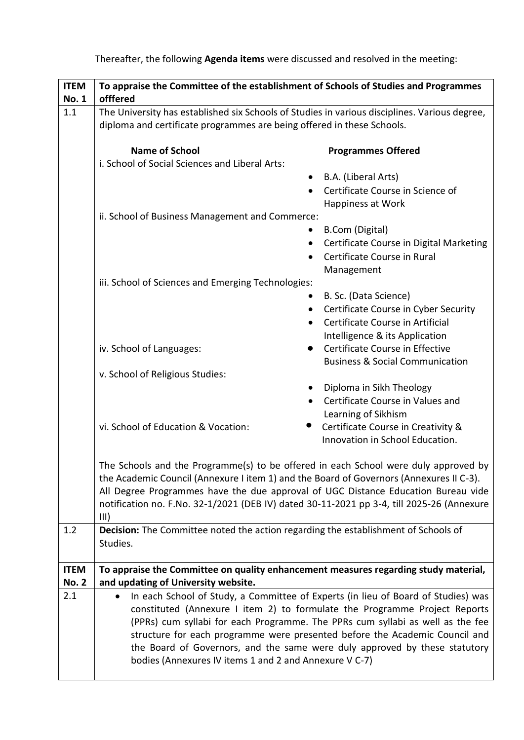| <b>ITEM</b>                 | To appraise the Committee of the establishment of Schools of Studies and Programmes                                                                                                                                                                                                                                                                                                                                                                                      |  |  |
|-----------------------------|--------------------------------------------------------------------------------------------------------------------------------------------------------------------------------------------------------------------------------------------------------------------------------------------------------------------------------------------------------------------------------------------------------------------------------------------------------------------------|--|--|
| <b>No. 1</b>                | offfered                                                                                                                                                                                                                                                                                                                                                                                                                                                                 |  |  |
| 1.1                         | The University has established six Schools of Studies in various disciplines. Various degree,<br>diploma and certificate programmes are being offered in these Schools.                                                                                                                                                                                                                                                                                                  |  |  |
|                             | <b>Name of School</b><br><b>Programmes Offered</b><br>i. School of Social Sciences and Liberal Arts:                                                                                                                                                                                                                                                                                                                                                                     |  |  |
|                             | B.A. (Liberal Arts)                                                                                                                                                                                                                                                                                                                                                                                                                                                      |  |  |
|                             | Certificate Course in Science of<br>$\bullet$<br>Happiness at Work                                                                                                                                                                                                                                                                                                                                                                                                       |  |  |
|                             | ii. School of Business Management and Commerce:                                                                                                                                                                                                                                                                                                                                                                                                                          |  |  |
|                             | <b>B.Com (Digital)</b>                                                                                                                                                                                                                                                                                                                                                                                                                                                   |  |  |
|                             | Certificate Course in Digital Marketing<br>٠<br>Certificate Course in Rural<br>$\bullet$                                                                                                                                                                                                                                                                                                                                                                                 |  |  |
|                             | Management                                                                                                                                                                                                                                                                                                                                                                                                                                                               |  |  |
|                             | iii. School of Sciences and Emerging Technologies:                                                                                                                                                                                                                                                                                                                                                                                                                       |  |  |
|                             | B. Sc. (Data Science)                                                                                                                                                                                                                                                                                                                                                                                                                                                    |  |  |
|                             | Certificate Course in Cyber Security<br>$\bullet$                                                                                                                                                                                                                                                                                                                                                                                                                        |  |  |
|                             | Certificate Course in Artificial<br>$\bullet$                                                                                                                                                                                                                                                                                                                                                                                                                            |  |  |
|                             | Intelligence & its Application                                                                                                                                                                                                                                                                                                                                                                                                                                           |  |  |
|                             | Certificate Course in Effective<br>iv. School of Languages:                                                                                                                                                                                                                                                                                                                                                                                                              |  |  |
|                             | <b>Business &amp; Social Communication</b>                                                                                                                                                                                                                                                                                                                                                                                                                               |  |  |
|                             | v. School of Religious Studies:                                                                                                                                                                                                                                                                                                                                                                                                                                          |  |  |
|                             | Diploma in Sikh Theology<br>Certificate Course in Values and                                                                                                                                                                                                                                                                                                                                                                                                             |  |  |
|                             | Learning of Sikhism                                                                                                                                                                                                                                                                                                                                                                                                                                                      |  |  |
|                             | vi. School of Education & Vocation:<br>Certificate Course in Creativity &                                                                                                                                                                                                                                                                                                                                                                                                |  |  |
|                             | Innovation in School Education.                                                                                                                                                                                                                                                                                                                                                                                                                                          |  |  |
|                             | The Schools and the Programme(s) to be offered in each School were duly approved by<br>the Academic Council (Annexure I item 1) and the Board of Governors (Annexures II C-3).<br>All Degree Programmes have the due approval of UGC Distance Education Bureau vide<br>notification no. F.No. 32-1/2021 (DEB IV) dated 30-11-2021 pp 3-4, till 2025-26 (Annexure<br>III)                                                                                                 |  |  |
| 1.2                         | Decision: The Committee noted the action regarding the establishment of Schools of<br>Studies.                                                                                                                                                                                                                                                                                                                                                                           |  |  |
| <b>ITEM</b><br><b>No. 2</b> | To appraise the Committee on quality enhancement measures regarding study material,<br>and updating of University website.                                                                                                                                                                                                                                                                                                                                               |  |  |
| 2.1                         | In each School of Study, a Committee of Experts (in lieu of Board of Studies) was<br>constituted (Annexure I item 2) to formulate the Programme Project Reports<br>(PPRs) cum syllabi for each Programme. The PPRs cum syllabi as well as the fee<br>structure for each programme were presented before the Academic Council and<br>the Board of Governors, and the same were duly approved by these statutory<br>bodies (Annexures IV items 1 and 2 and Annexure V C-7) |  |  |

Thereafter, the following **Agenda items** were discussed and resolved in the meeting: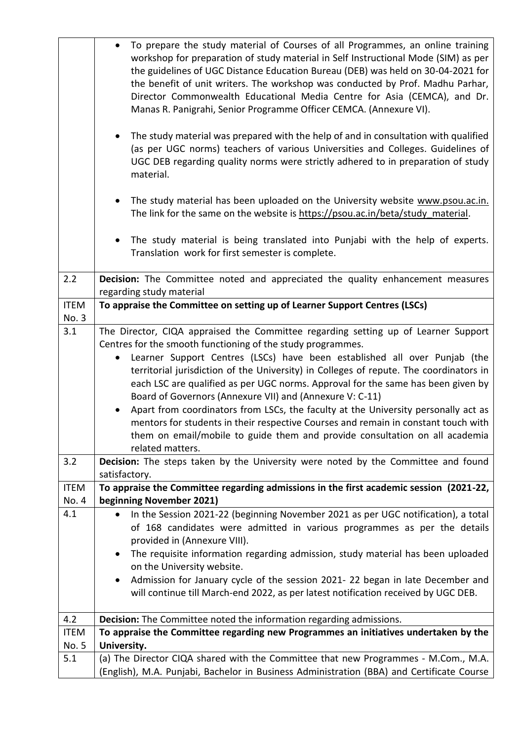|              | To prepare the study material of Courses of all Programmes, an online training<br>workshop for preparation of study material in Self Instructional Mode (SIM) as per<br>the guidelines of UGC Distance Education Bureau (DEB) was held on 30-04-2021 for<br>the benefit of unit writers. The workshop was conducted by Prof. Madhu Parhar,<br>Director Commonwealth Educational Media Centre for Asia (CEMCA), and Dr.<br>Manas R. Panigrahi, Senior Programme Officer CEMCA. (Annexure VI). |  |
|--------------|----------------------------------------------------------------------------------------------------------------------------------------------------------------------------------------------------------------------------------------------------------------------------------------------------------------------------------------------------------------------------------------------------------------------------------------------------------------------------------------------|--|
|              | The study material was prepared with the help of and in consultation with qualified<br>(as per UGC norms) teachers of various Universities and Colleges. Guidelines of<br>UGC DEB regarding quality norms were strictly adhered to in preparation of study<br>material.                                                                                                                                                                                                                      |  |
|              | The study material has been uploaded on the University website www.psou.ac.in.<br>$\bullet$<br>The link for the same on the website is https://psou.ac.in/beta/study material.                                                                                                                                                                                                                                                                                                               |  |
|              | The study material is being translated into Punjabi with the help of experts.<br>Translation work for first semester is complete.                                                                                                                                                                                                                                                                                                                                                            |  |
| 2.2          | Decision: The Committee noted and appreciated the quality enhancement measures                                                                                                                                                                                                                                                                                                                                                                                                               |  |
|              | regarding study material                                                                                                                                                                                                                                                                                                                                                                                                                                                                     |  |
| <b>ITEM</b>  | To appraise the Committee on setting up of Learner Support Centres (LSCs)                                                                                                                                                                                                                                                                                                                                                                                                                    |  |
| No. 3<br>3.1 |                                                                                                                                                                                                                                                                                                                                                                                                                                                                                              |  |
|              | The Director, CIQA appraised the Committee regarding setting up of Learner Support<br>Centres for the smooth functioning of the study programmes.                                                                                                                                                                                                                                                                                                                                            |  |
|              | Learner Support Centres (LSCs) have been established all over Punjab (the<br>$\bullet$                                                                                                                                                                                                                                                                                                                                                                                                       |  |
|              | territorial jurisdiction of the University) in Colleges of repute. The coordinators in                                                                                                                                                                                                                                                                                                                                                                                                       |  |
|              | each LSC are qualified as per UGC norms. Approval for the same has been given by                                                                                                                                                                                                                                                                                                                                                                                                             |  |
|              | Board of Governors (Annexure VII) and (Annexure V: C-11)                                                                                                                                                                                                                                                                                                                                                                                                                                     |  |
|              | Apart from coordinators from LSCs, the faculty at the University personally act as<br>$\bullet$                                                                                                                                                                                                                                                                                                                                                                                              |  |
|              | mentors for students in their respective Courses and remain in constant touch with                                                                                                                                                                                                                                                                                                                                                                                                           |  |
|              | them on email/mobile to guide them and provide consultation on all academia                                                                                                                                                                                                                                                                                                                                                                                                                  |  |
|              | related matters.                                                                                                                                                                                                                                                                                                                                                                                                                                                                             |  |
| 3.2          | Decision: The steps taken by the University were noted by the Committee and found                                                                                                                                                                                                                                                                                                                                                                                                            |  |
| <b>ITEM</b>  | satisfactory.<br>To appraise the Committee regarding admissions in the first academic session (2021-22,                                                                                                                                                                                                                                                                                                                                                                                      |  |
| No. 4        | beginning November 2021)                                                                                                                                                                                                                                                                                                                                                                                                                                                                     |  |
| 4.1          | In the Session 2021-22 (beginning November 2021 as per UGC notification), a total                                                                                                                                                                                                                                                                                                                                                                                                            |  |
|              | of 168 candidates were admitted in various programmes as per the details                                                                                                                                                                                                                                                                                                                                                                                                                     |  |
|              | provided in (Annexure VIII).                                                                                                                                                                                                                                                                                                                                                                                                                                                                 |  |
|              | The requisite information regarding admission, study material has been uploaded<br>٠                                                                                                                                                                                                                                                                                                                                                                                                         |  |
|              | on the University website.                                                                                                                                                                                                                                                                                                                                                                                                                                                                   |  |
|              | Admission for January cycle of the session 2021-22 began in late December and<br>٠                                                                                                                                                                                                                                                                                                                                                                                                           |  |
|              | will continue till March-end 2022, as per latest notification received by UGC DEB.                                                                                                                                                                                                                                                                                                                                                                                                           |  |
| 4.2          | <b>Decision:</b> The Committee noted the information regarding admissions.                                                                                                                                                                                                                                                                                                                                                                                                                   |  |
| <b>ITEM</b>  | To appraise the Committee regarding new Programmes an initiatives undertaken by the                                                                                                                                                                                                                                                                                                                                                                                                          |  |
| No. 5        | University.                                                                                                                                                                                                                                                                                                                                                                                                                                                                                  |  |
| 5.1          | (a) The Director CIQA shared with the Committee that new Programmes - M.Com., M.A.                                                                                                                                                                                                                                                                                                                                                                                                           |  |
|              | (English), M.A. Punjabi, Bachelor in Business Administration (BBA) and Certificate Course                                                                                                                                                                                                                                                                                                                                                                                                    |  |